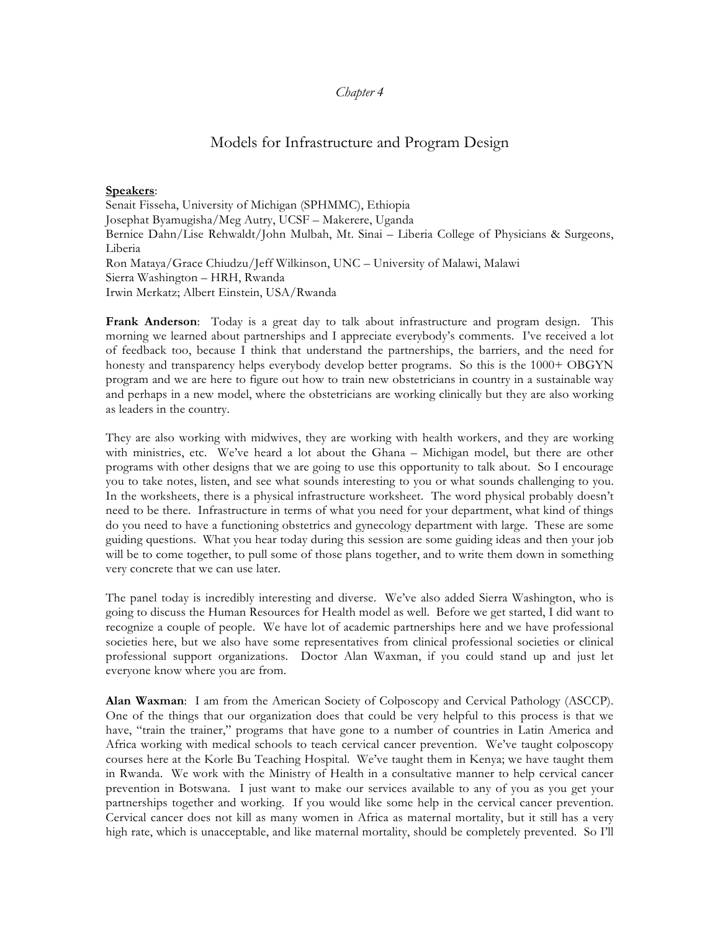## *Chapter 4*

# Models for Infrastructure and Program Design

#### **Speakers**:

Senait Fisseha, University of Michigan (SPHMMC), Ethiopia Josephat Byamugisha/Meg Autry, UCSF – Makerere, Uganda Bernice Dahn/Lise Rehwaldt/John Mulbah, Mt. Sinai – Liberia College of Physicians & Surgeons, Liberia Ron Mataya/Grace Chiudzu/Jeff Wilkinson, UNC – University of Malawi, Malawi Sierra Washington – HRH, Rwanda Irwin Merkatz; Albert Einstein, USA/Rwanda

**Frank Anderson**: Today is a great day to talk about infrastructure and program design. This morning we learned about partnerships and I appreciate everybody's comments. I've received a lot of feedback too, because I think that understand the partnerships, the barriers, and the need for honesty and transparency helps everybody develop better programs. So this is the 1000+ OBGYN program and we are here to figure out how to train new obstetricians in country in a sustainable way and perhaps in a new model, where the obstetricians are working clinically but they are also working as leaders in the country.

They are also working with midwives, they are working with health workers, and they are working with ministries, etc. We've heard a lot about the Ghana – Michigan model, but there are other programs with other designs that we are going to use this opportunity to talk about. So I encourage you to take notes, listen, and see what sounds interesting to you or what sounds challenging to you. In the worksheets, there is a physical infrastructure worksheet. The word physical probably doesn't need to be there. Infrastructure in terms of what you need for your department, what kind of things do you need to have a functioning obstetrics and gynecology department with large. These are some guiding questions. What you hear today during this session are some guiding ideas and then your job will be to come together, to pull some of those plans together, and to write them down in something very concrete that we can use later.

The panel today is incredibly interesting and diverse. We've also added Sierra Washington, who is going to discuss the Human Resources for Health model as well. Before we get started, I did want to recognize a couple of people. We have lot of academic partnerships here and we have professional societies here, but we also have some representatives from clinical professional societies or clinical professional support organizations. Doctor Alan Waxman, if you could stand up and just let everyone know where you are from.

**Alan Waxman**: I am from the American Society of Colposcopy and Cervical Pathology (ASCCP). One of the things that our organization does that could be very helpful to this process is that we have, "train the trainer," programs that have gone to a number of countries in Latin America and Africa working with medical schools to teach cervical cancer prevention. We've taught colposcopy courses here at the Korle Bu Teaching Hospital. We've taught them in Kenya; we have taught them in Rwanda. We work with the Ministry of Health in a consultative manner to help cervical cancer prevention in Botswana. I just want to make our services available to any of you as you get your partnerships together and working. If you would like some help in the cervical cancer prevention. Cervical cancer does not kill as many women in Africa as maternal mortality, but it still has a very high rate, which is unacceptable, and like maternal mortality, should be completely prevented. So I'll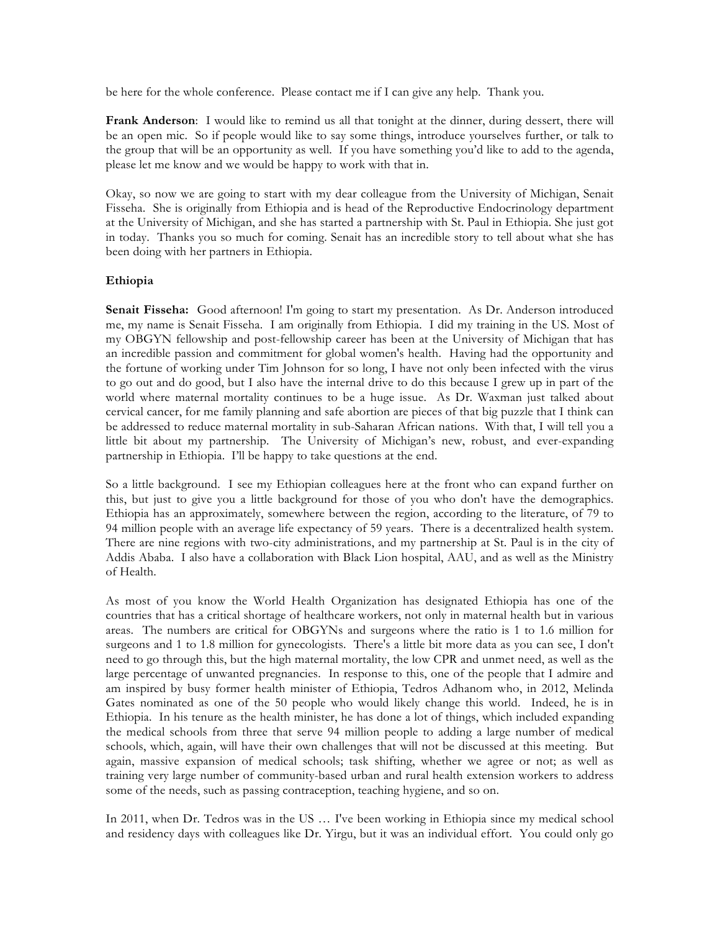be here for the whole conference. Please contact me if I can give any help. Thank you.

**Frank Anderson**: I would like to remind us all that tonight at the dinner, during dessert, there will be an open mic. So if people would like to say some things, introduce yourselves further, or talk to the group that will be an opportunity as well. If you have something you'd like to add to the agenda, please let me know and we would be happy to work with that in.

Okay, so now we are going to start with my dear colleague from the University of Michigan, Senait Fisseha. She is originally from Ethiopia and is head of the Reproductive Endocrinology department at the University of Michigan, and she has started a partnership with St. Paul in Ethiopia. She just got in today. Thanks you so much for coming. Senait has an incredible story to tell about what she has been doing with her partners in Ethiopia.

### **Ethiopia**

**Senait Fisseha:** Good afternoon! I'm going to start my presentation. As Dr. Anderson introduced me, my name is Senait Fisseha. I am originally from Ethiopia. I did my training in the US. Most of my OBGYN fellowship and post-fellowship career has been at the University of Michigan that has an incredible passion and commitment for global women's health. Having had the opportunity and the fortune of working under Tim Johnson for so long, I have not only been infected with the virus to go out and do good, but I also have the internal drive to do this because I grew up in part of the world where maternal mortality continues to be a huge issue. As Dr. Waxman just talked about cervical cancer, for me family planning and safe abortion are pieces of that big puzzle that I think can be addressed to reduce maternal mortality in sub-Saharan African nations. With that, I will tell you a little bit about my partnership. The University of Michigan's new, robust, and ever-expanding partnership in Ethiopia. I'll be happy to take questions at the end.

So a little background. I see my Ethiopian colleagues here at the front who can expand further on this, but just to give you a little background for those of you who don't have the demographics. Ethiopia has an approximately, somewhere between the region, according to the literature, of 79 to 94 million people with an average life expectancy of 59 years. There is a decentralized health system. There are nine regions with two-city administrations, and my partnership at St. Paul is in the city of Addis Ababa. I also have a collaboration with Black Lion hospital, AAU, and as well as the Ministry of Health.

As most of you know the World Health Organization has designated Ethiopia has one of the countries that has a critical shortage of healthcare workers, not only in maternal health but in various areas. The numbers are critical for OBGYNs and surgeons where the ratio is 1 to 1.6 million for surgeons and 1 to 1.8 million for gynecologists. There's a little bit more data as you can see, I don't need to go through this, but the high maternal mortality, the low CPR and unmet need, as well as the large percentage of unwanted pregnancies. In response to this, one of the people that I admire and am inspired by busy former health minister of Ethiopia, Tedros Adhanom who, in 2012, Melinda Gates nominated as one of the 50 people who would likely change this world. Indeed, he is in Ethiopia. In his tenure as the health minister, he has done a lot of things, which included expanding the medical schools from three that serve 94 million people to adding a large number of medical schools, which, again, will have their own challenges that will not be discussed at this meeting. But again, massive expansion of medical schools; task shifting, whether we agree or not; as well as training very large number of community-based urban and rural health extension workers to address some of the needs, such as passing contraception, teaching hygiene, and so on.

In 2011, when Dr. Tedros was in the US … I've been working in Ethiopia since my medical school and residency days with colleagues like Dr. Yirgu, but it was an individual effort. You could only go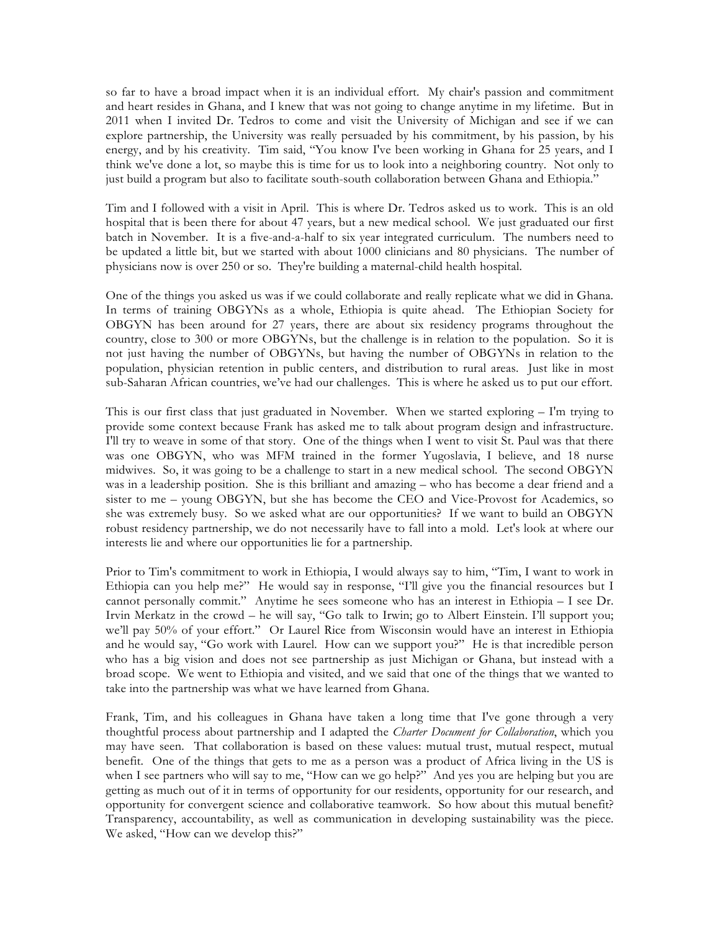so far to have a broad impact when it is an individual effort. My chair's passion and commitment and heart resides in Ghana, and I knew that was not going to change anytime in my lifetime. But in 2011 when I invited Dr. Tedros to come and visit the University of Michigan and see if we can explore partnership, the University was really persuaded by his commitment, by his passion, by his energy, and by his creativity. Tim said, "You know I've been working in Ghana for 25 years, and I think we've done a lot, so maybe this is time for us to look into a neighboring country. Not only to just build a program but also to facilitate south-south collaboration between Ghana and Ethiopia."

Tim and I followed with a visit in April. This is where Dr. Tedros asked us to work. This is an old hospital that is been there for about 47 years, but a new medical school. We just graduated our first batch in November. It is a five-and-a-half to six year integrated curriculum. The numbers need to be updated a little bit, but we started with about 1000 clinicians and 80 physicians. The number of physicians now is over 250 or so. They're building a maternal-child health hospital.

One of the things you asked us was if we could collaborate and really replicate what we did in Ghana. In terms of training OBGYNs as a whole, Ethiopia is quite ahead. The Ethiopian Society for OBGYN has been around for 27 years, there are about six residency programs throughout the country, close to 300 or more OBGYNs, but the challenge is in relation to the population. So it is not just having the number of OBGYNs, but having the number of OBGYNs in relation to the population, physician retention in public centers, and distribution to rural areas. Just like in most sub-Saharan African countries, we've had our challenges. This is where he asked us to put our effort.

This is our first class that just graduated in November. When we started exploring – I'm trying to provide some context because Frank has asked me to talk about program design and infrastructure. I'll try to weave in some of that story. One of the things when I went to visit St. Paul was that there was one OBGYN, who was MFM trained in the former Yugoslavia, I believe, and 18 nurse midwives. So, it was going to be a challenge to start in a new medical school. The second OBGYN was in a leadership position. She is this brilliant and amazing – who has become a dear friend and a sister to me – young OBGYN, but she has become the CEO and Vice-Provost for Academics, so she was extremely busy. So we asked what are our opportunities? If we want to build an OBGYN robust residency partnership, we do not necessarily have to fall into a mold. Let's look at where our interests lie and where our opportunities lie for a partnership.

Prior to Tim's commitment to work in Ethiopia, I would always say to him, "Tim, I want to work in Ethiopia can you help me?" He would say in response, "I'll give you the financial resources but I cannot personally commit." Anytime he sees someone who has an interest in Ethiopia – I see Dr. Irvin Merkatz in the crowd – he will say, "Go talk to Irwin; go to Albert Einstein. I'll support you; we'll pay 50% of your effort." Or Laurel Rice from Wisconsin would have an interest in Ethiopia and he would say, "Go work with Laurel. How can we support you?" He is that incredible person who has a big vision and does not see partnership as just Michigan or Ghana, but instead with a broad scope. We went to Ethiopia and visited, and we said that one of the things that we wanted to take into the partnership was what we have learned from Ghana.

Frank, Tim, and his colleagues in Ghana have taken a long time that I've gone through a very thoughtful process about partnership and I adapted the *Charter Document for Collaboration*, which you may have seen. That collaboration is based on these values: mutual trust, mutual respect, mutual benefit. One of the things that gets to me as a person was a product of Africa living in the US is when I see partners who will say to me, "How can we go help?" And yes you are helping but you are getting as much out of it in terms of opportunity for our residents, opportunity for our research, and opportunity for convergent science and collaborative teamwork. So how about this mutual benefit? Transparency, accountability, as well as communication in developing sustainability was the piece. We asked, "How can we develop this?"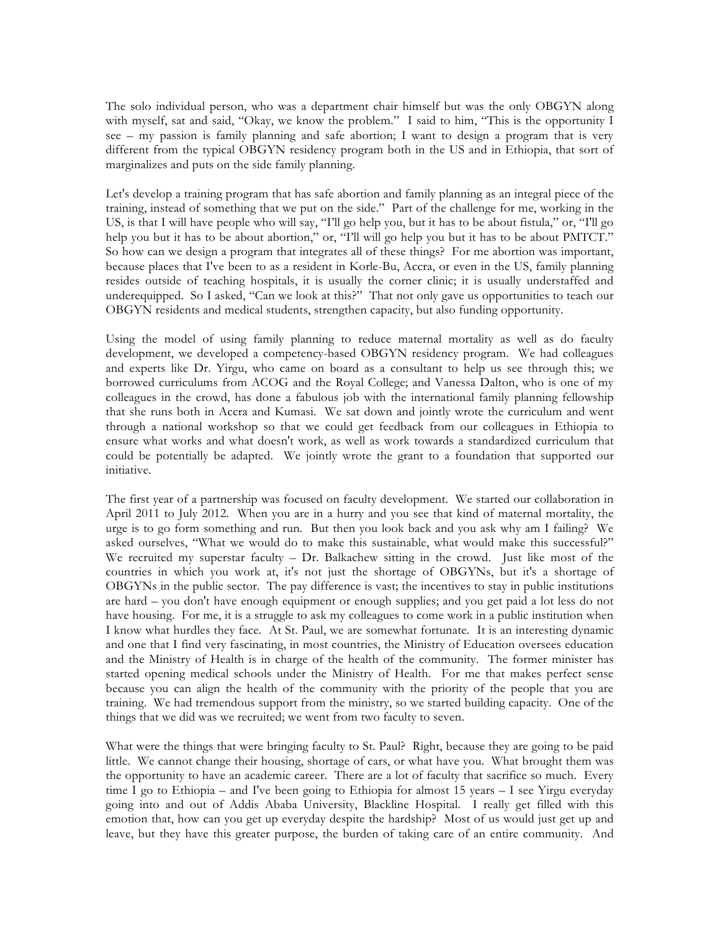The solo individual person, who was a department chair himself but was the only OBGYN along with myself, sat and said, "Okay, we know the problem." I said to him, "This is the opportunity I see – my passion is family planning and safe abortion; I want to design a program that is very different from the typical OBGYN residency program both in the US and in Ethiopia, that sort of marginalizes and puts on the side family planning.

Let's develop a training program that has safe abortion and family planning as an integral piece of the training, instead of something that we put on the side." Part of the challenge for me, working in the US, is that I will have people who will say, "I'll go help you, but it has to be about fistula," or, "I'll go help you but it has to be about abortion," or, "I'll will go help you but it has to be about PMTCT." So how can we design a program that integrates all of these things? For me abortion was important, because places that I've been to as a resident in Korle-Bu, Accra, or even in the US, family planning resides outside of teaching hospitals, it is usually the corner clinic; it is usually understaffed and underequipped. So I asked, "Can we look at this?" That not only gave us opportunities to teach our OBGYN residents and medical students, strengthen capacity, but also funding opportunity.

Using the model of using family planning to reduce maternal mortality as well as do faculty development, we developed a competency-based OBGYN residency program. We had colleagues and experts like Dr. Yirgu, who came on board as a consultant to help us see through this; we borrowed curriculums from ACOG and the Royal College; and Vanessa Dalton, who is one of my colleagues in the crowd, has done a fabulous job with the international family planning fellowship that she runs both in Accra and Kumasi. We sat down and jointly wrote the curriculum and went through a national workshop so that we could get feedback from our colleagues in Ethiopia to ensure what works and what doesn't work, as well as work towards a standardized curriculum that could be potentially be adapted. We jointly wrote the grant to a foundation that supported our initiative.

The first year of a partnership was focused on faculty development. We started our collaboration in April 2011 to July 2012. When you are in a hurry and you see that kind of maternal mortality, the urge is to go form something and run. But then you look back and you ask why am I failing? We asked ourselves, "What we would do to make this sustainable, what would make this successful?" We recruited my superstar faculty – Dr. Balkachew sitting in the crowd. Just like most of the countries in which you work at, it's not just the shortage of OBGYNs, but it's a shortage of OBGYNs in the public sector. The pay difference is vast; the incentives to stay in public institutions are hard – you don't have enough equipment or enough supplies; and you get paid a lot less do not have housing. For me, it is a struggle to ask my colleagues to come work in a public institution when I know what hurdles they face. At St. Paul, we are somewhat fortunate. It is an interesting dynamic and one that I find very fascinating, in most countries, the Ministry of Education oversees education and the Ministry of Health is in charge of the health of the community. The former minister has started opening medical schools under the Ministry of Health. For me that makes perfect sense because you can align the health of the community with the priority of the people that you are training. We had tremendous support from the ministry, so we started building capacity. One of the things that we did was we recruited; we went from two faculty to seven.

What were the things that were bringing faculty to St. Paul? Right, because they are going to be paid little. We cannot change their housing, shortage of cars, or what have you. What brought them was the opportunity to have an academic career. There are a lot of faculty that sacrifice so much. Every time I go to Ethiopia – and I've been going to Ethiopia for almost 15 years – I see Yirgu everyday going into and out of Addis Ababa University, Blackline Hospital. I really get filled with this emotion that, how can you get up everyday despite the hardship? Most of us would just get up and leave, but they have this greater purpose, the burden of taking care of an entire community. And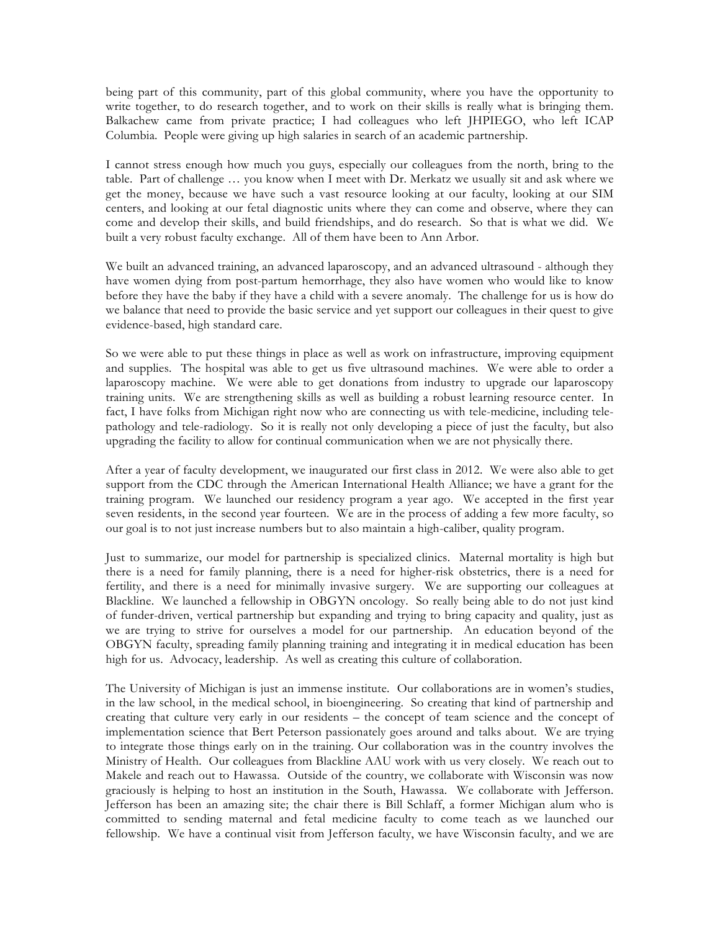being part of this community, part of this global community, where you have the opportunity to write together, to do research together, and to work on their skills is really what is bringing them. Balkachew came from private practice; I had colleagues who left JHPIEGO, who left ICAP Columbia. People were giving up high salaries in search of an academic partnership.

I cannot stress enough how much you guys, especially our colleagues from the north, bring to the table. Part of challenge … you know when I meet with Dr. Merkatz we usually sit and ask where we get the money, because we have such a vast resource looking at our faculty, looking at our SIM centers, and looking at our fetal diagnostic units where they can come and observe, where they can come and develop their skills, and build friendships, and do research. So that is what we did. We built a very robust faculty exchange. All of them have been to Ann Arbor.

We built an advanced training, an advanced laparoscopy, and an advanced ultrasound - although they have women dying from post-partum hemorrhage, they also have women who would like to know before they have the baby if they have a child with a severe anomaly. The challenge for us is how do we balance that need to provide the basic service and yet support our colleagues in their quest to give evidence-based, high standard care.

So we were able to put these things in place as well as work on infrastructure, improving equipment and supplies. The hospital was able to get us five ultrasound machines. We were able to order a laparoscopy machine. We were able to get donations from industry to upgrade our laparoscopy training units. We are strengthening skills as well as building a robust learning resource center. In fact, I have folks from Michigan right now who are connecting us with tele-medicine, including telepathology and tele-radiology. So it is really not only developing a piece of just the faculty, but also upgrading the facility to allow for continual communication when we are not physically there.

After a year of faculty development, we inaugurated our first class in 2012. We were also able to get support from the CDC through the American International Health Alliance; we have a grant for the training program. We launched our residency program a year ago. We accepted in the first year seven residents, in the second year fourteen. We are in the process of adding a few more faculty, so our goal is to not just increase numbers but to also maintain a high-caliber, quality program.

Just to summarize, our model for partnership is specialized clinics. Maternal mortality is high but there is a need for family planning, there is a need for higher-risk obstetrics, there is a need for fertility, and there is a need for minimally invasive surgery. We are supporting our colleagues at Blackline. We launched a fellowship in OBGYN oncology. So really being able to do not just kind of funder-driven, vertical partnership but expanding and trying to bring capacity and quality, just as we are trying to strive for ourselves a model for our partnership. An education beyond of the OBGYN faculty, spreading family planning training and integrating it in medical education has been high for us. Advocacy, leadership. As well as creating this culture of collaboration.

The University of Michigan is just an immense institute. Our collaborations are in women's studies, in the law school, in the medical school, in bioengineering. So creating that kind of partnership and creating that culture very early in our residents – the concept of team science and the concept of implementation science that Bert Peterson passionately goes around and talks about. We are trying to integrate those things early on in the training. Our collaboration was in the country involves the Ministry of Health. Our colleagues from Blackline AAU work with us very closely. We reach out to Makele and reach out to Hawassa. Outside of the country, we collaborate with Wisconsin was now graciously is helping to host an institution in the South, Hawassa. We collaborate with Jefferson. Jefferson has been an amazing site; the chair there is Bill Schlaff, a former Michigan alum who is committed to sending maternal and fetal medicine faculty to come teach as we launched our fellowship. We have a continual visit from Jefferson faculty, we have Wisconsin faculty, and we are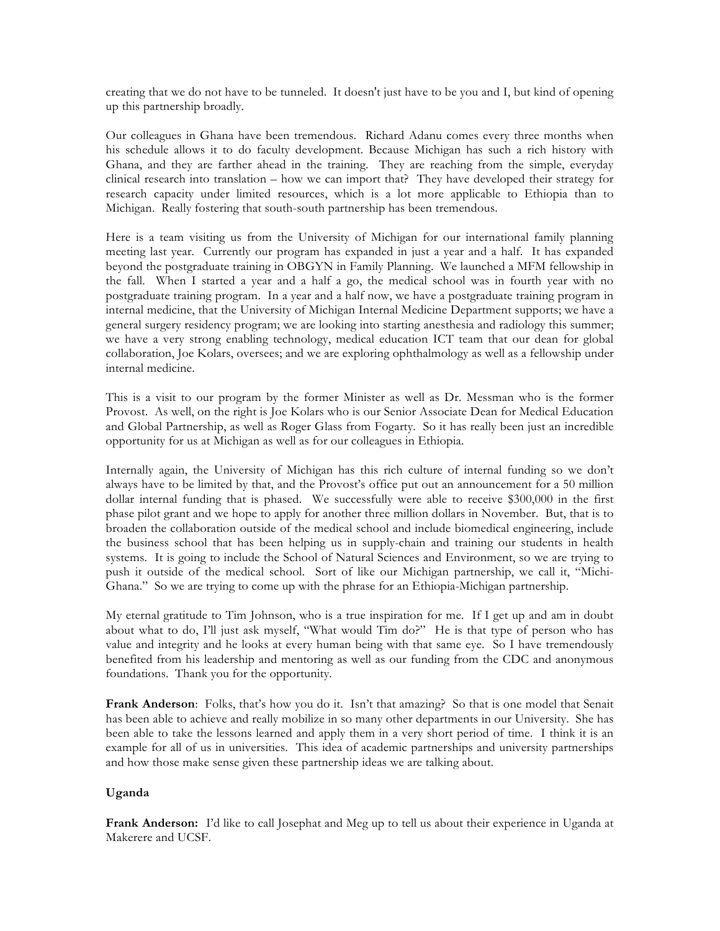creating that we do not have to be tunneled. It doesn't just have to be you and I, but kind of opening up this partnership broadly.

Our colleagues in Ghana have been tremendous. Richard Adanu comes every three months when his schedule allows it to do faculty development. Because Michigan has such a rich history with Ghana, and they are farther ahead in the training. They are reaching from the simple, everyday clinical research into translation – how we can import that? They have developed their strategy for research capacity under limited resources, which is a lot more applicable to Ethiopia than to Michigan. Really fostering that south-south partnership has been tremendous.

Here is a team visiting us from the University of Michigan for our international family planning meeting last year. Currently our program has expanded in just a year and a half. It has expanded beyond the postgraduate training in OBGYN in Family Planning. We launched a MFM fellowship in the fall. When I started a year and a half a go, the medical school was in fourth year with no postgraduate training program. In a year and a half now, we have a postgraduate training program in internal medicine, that the University of Michigan Internal Medicine Department supports; we have a general surgery residency program; we are looking into starting anesthesia and radiology this summer; we have a very strong enabling technology, medical education ICT team that our dean for global collaboration, Joe Kolars, oversees; and we are exploring ophthalmology as well as a fellowship under internal medicine.

This is a visit to our program by the former Minister as well as Dr. Messman who is the former Provost. As well, on the right is Joe Kolars who is our Senior Associate Dean for Medical Education and Global Partnership, as well as Roger Glass from Fogarty. So it has really been just an incredible opportunity for us at Michigan as well as for our colleagues in Ethiopia.

Internally again, the University of Michigan has this rich culture of internal funding so we don't always have to be limited by that, and the Provost's office put out an announcement for a 50 million dollar internal funding that is phased. We successfully were able to receive \$300,000 in the first phase pilot grant and we hope to apply for another three million dollars in November. But, that is to broaden the collaboration outside of the medical school and include biomedical engineering, include the business school that has been helping us in supply-chain and training our students in health systems. It is going to include the School of Natural Sciences and Environment, so we are trying to push it outside of the medical school. Sort of like our Michigan partnership, we call it, "Michi-Ghana." So we are trying to come up with the phrase for an Ethiopia-Michigan partnership.

My eternal gratitude to Tim Johnson, who is a true inspiration for me. If I get up and am in doubt about what to do, I'll just ask myself, "What would Tim do?" He is that type of person who has value and integrity and he looks at every human being with that same eye. So I have tremendously benefited from his leadership and mentoring as well as our funding from the CDC and anonymous foundations. Thank you for the opportunity.

**Frank Anderson**: Folks, that's how you do it. Isn't that amazing? So that is one model that Senait has been able to achieve and really mobilize in so many other departments in our University. She has been able to take the lessons learned and apply them in a very short period of time. I think it is an example for all of us in universities. This idea of academic partnerships and university partnerships and how those make sense given these partnership ideas we are talking about.

### **Uganda**

**Frank Anderson:** I'd like to call Josephat and Meg up to tell us about their experience in Uganda at Makerere and UCSF.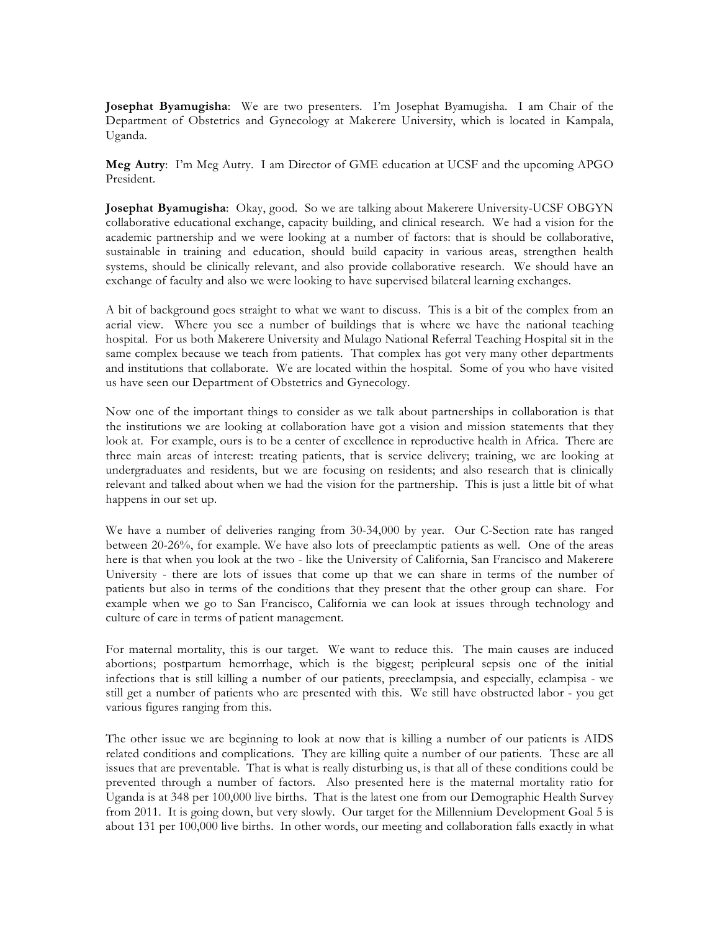**Josephat Byamugisha**: We are two presenters. I'm Josephat Byamugisha. I am Chair of the Department of Obstetrics and Gynecology at Makerere University, which is located in Kampala, Uganda.

**Meg Autry**: I'm Meg Autry. I am Director of GME education at UCSF and the upcoming APGO President.

**Josephat Byamugisha**: Okay, good. So we are talking about Makerere University-UCSF OBGYN collaborative educational exchange, capacity building, and clinical research. We had a vision for the academic partnership and we were looking at a number of factors: that is should be collaborative, sustainable in training and education, should build capacity in various areas, strengthen health systems, should be clinically relevant, and also provide collaborative research. We should have an exchange of faculty and also we were looking to have supervised bilateral learning exchanges.

A bit of background goes straight to what we want to discuss. This is a bit of the complex from an aerial view. Where you see a number of buildings that is where we have the national teaching hospital. For us both Makerere University and Mulago National Referral Teaching Hospital sit in the same complex because we teach from patients. That complex has got very many other departments and institutions that collaborate. We are located within the hospital. Some of you who have visited us have seen our Department of Obstetrics and Gynecology.

Now one of the important things to consider as we talk about partnerships in collaboration is that the institutions we are looking at collaboration have got a vision and mission statements that they look at. For example, ours is to be a center of excellence in reproductive health in Africa. There are three main areas of interest: treating patients, that is service delivery; training, we are looking at undergraduates and residents, but we are focusing on residents; and also research that is clinically relevant and talked about when we had the vision for the partnership. This is just a little bit of what happens in our set up.

We have a number of deliveries ranging from 30-34,000 by year. Our C-Section rate has ranged between 20-26%, for example. We have also lots of preeclamptic patients as well. One of the areas here is that when you look at the two - like the University of California, San Francisco and Makerere University - there are lots of issues that come up that we can share in terms of the number of patients but also in terms of the conditions that they present that the other group can share. For example when we go to San Francisco, California we can look at issues through technology and culture of care in terms of patient management.

For maternal mortality, this is our target. We want to reduce this. The main causes are induced abortions; postpartum hemorrhage, which is the biggest; peripleural sepsis one of the initial infections that is still killing a number of our patients, preeclampsia, and especially, eclampisa - we still get a number of patients who are presented with this. We still have obstructed labor - you get various figures ranging from this.

The other issue we are beginning to look at now that is killing a number of our patients is AIDS related conditions and complications. They are killing quite a number of our patients. These are all issues that are preventable. That is what is really disturbing us, is that all of these conditions could be prevented through a number of factors. Also presented here is the maternal mortality ratio for Uganda is at 348 per 100,000 live births. That is the latest one from our Demographic Health Survey from 2011. It is going down, but very slowly. Our target for the Millennium Development Goal 5 is about 131 per 100,000 live births. In other words, our meeting and collaboration falls exactly in what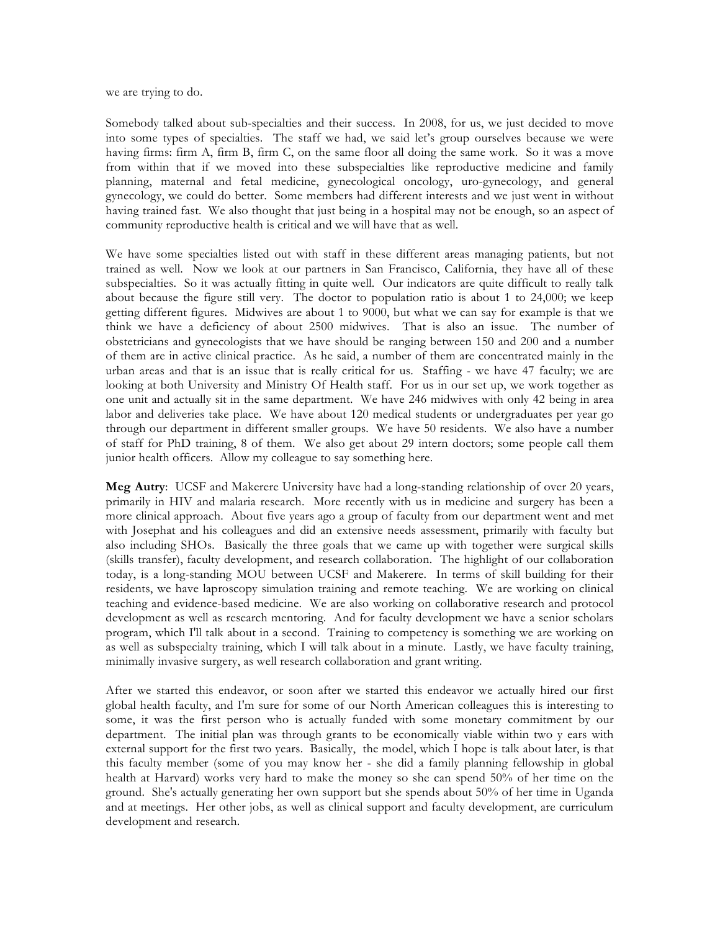we are trying to do.

Somebody talked about sub-specialties and their success. In 2008, for us, we just decided to move into some types of specialties. The staff we had, we said let's group ourselves because we were having firms: firm A, firm B, firm C, on the same floor all doing the same work. So it was a move from within that if we moved into these subspecialties like reproductive medicine and family planning, maternal and fetal medicine, gynecological oncology, uro-gynecology, and general gynecology, we could do better. Some members had different interests and we just went in without having trained fast. We also thought that just being in a hospital may not be enough, so an aspect of community reproductive health is critical and we will have that as well.

We have some specialties listed out with staff in these different areas managing patients, but not trained as well. Now we look at our partners in San Francisco, California, they have all of these subspecialties. So it was actually fitting in quite well. Our indicators are quite difficult to really talk about because the figure still very. The doctor to population ratio is about 1 to 24,000; we keep getting different figures. Midwives are about 1 to 9000, but what we can say for example is that we think we have a deficiency of about 2500 midwives. That is also an issue. The number of obstetricians and gynecologists that we have should be ranging between 150 and 200 and a number of them are in active clinical practice. As he said, a number of them are concentrated mainly in the urban areas and that is an issue that is really critical for us. Staffing - we have 47 faculty; we are looking at both University and Ministry Of Health staff. For us in our set up, we work together as one unit and actually sit in the same department. We have 246 midwives with only 42 being in area labor and deliveries take place. We have about 120 medical students or undergraduates per year go through our department in different smaller groups. We have 50 residents. We also have a number of staff for PhD training, 8 of them. We also get about 29 intern doctors; some people call them junior health officers. Allow my colleague to say something here.

**Meg Autry**: UCSF and Makerere University have had a long-standing relationship of over 20 years, primarily in HIV and malaria research. More recently with us in medicine and surgery has been a more clinical approach. About five years ago a group of faculty from our department went and met with Josephat and his colleagues and did an extensive needs assessment, primarily with faculty but also including SHOs. Basically the three goals that we came up with together were surgical skills (skills transfer), faculty development, and research collaboration. The highlight of our collaboration today, is a long-standing MOU between UCSF and Makerere. In terms of skill building for their residents, we have laproscopy simulation training and remote teaching. We are working on clinical teaching and evidence-based medicine. We are also working on collaborative research and protocol development as well as research mentoring. And for faculty development we have a senior scholars program, which I'll talk about in a second. Training to competency is something we are working on as well as subspecialty training, which I will talk about in a minute. Lastly, we have faculty training, minimally invasive surgery, as well research collaboration and grant writing.

After we started this endeavor, or soon after we started this endeavor we actually hired our first global health faculty, and I'm sure for some of our North American colleagues this is interesting to some, it was the first person who is actually funded with some monetary commitment by our department. The initial plan was through grants to be economically viable within two y ears with external support for the first two years. Basically, the model, which I hope is talk about later, is that this faculty member (some of you may know her - she did a family planning fellowship in global health at Harvard) works very hard to make the money so she can spend 50% of her time on the ground. She's actually generating her own support but she spends about 50% of her time in Uganda and at meetings. Her other jobs, as well as clinical support and faculty development, are curriculum development and research.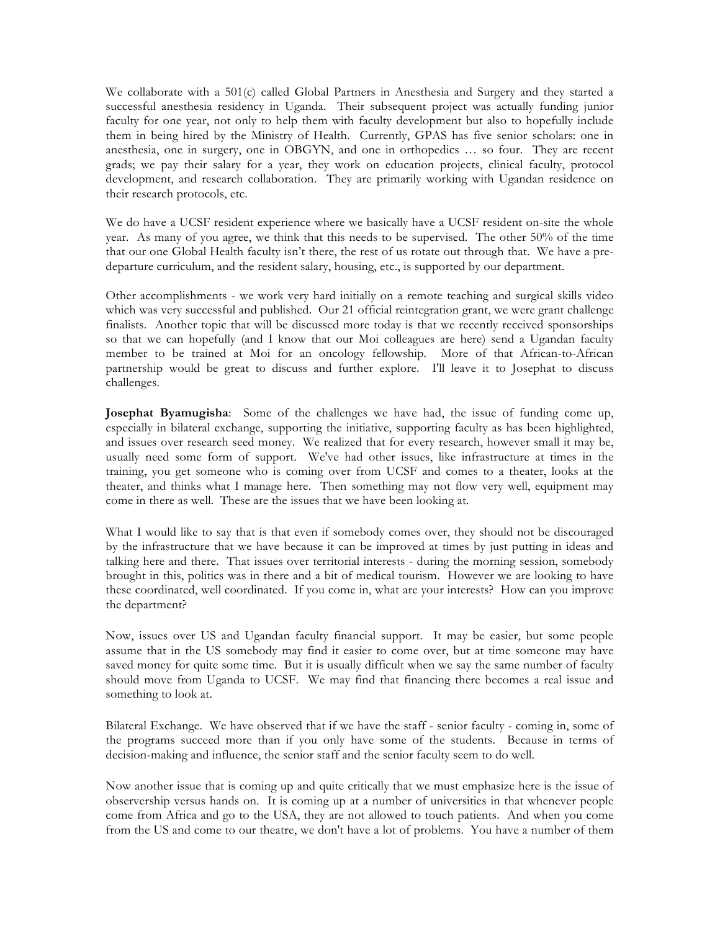We collaborate with a 501(c) called Global Partners in Anesthesia and Surgery and they started a successful anesthesia residency in Uganda. Their subsequent project was actually funding junior faculty for one year, not only to help them with faculty development but also to hopefully include them in being hired by the Ministry of Health. Currently, GPAS has five senior scholars: one in anesthesia, one in surgery, one in OBGYN, and one in orthopedics … so four. They are recent grads; we pay their salary for a year, they work on education projects, clinical faculty, protocol development, and research collaboration. They are primarily working with Ugandan residence on their research protocols, etc.

We do have a UCSF resident experience where we basically have a UCSF resident on-site the whole year. As many of you agree, we think that this needs to be supervised. The other 50% of the time that our one Global Health faculty isn't there, the rest of us rotate out through that. We have a predeparture curriculum, and the resident salary, housing, etc., is supported by our department.

Other accomplishments - we work very hard initially on a remote teaching and surgical skills video which was very successful and published. Our 21 official reintegration grant, we were grant challenge finalists. Another topic that will be discussed more today is that we recently received sponsorships so that we can hopefully (and I know that our Moi colleagues are here) send a Ugandan faculty member to be trained at Moi for an oncology fellowship. More of that African-to-African partnership would be great to discuss and further explore. I'll leave it to Josephat to discuss challenges.

**Josephat Byamugisha**: Some of the challenges we have had, the issue of funding come up, especially in bilateral exchange, supporting the initiative, supporting faculty as has been highlighted, and issues over research seed money. We realized that for every research, however small it may be, usually need some form of support. We've had other issues, like infrastructure at times in the training, you get someone who is coming over from UCSF and comes to a theater, looks at the theater, and thinks what I manage here. Then something may not flow very well, equipment may come in there as well. These are the issues that we have been looking at.

What I would like to say that is that even if somebody comes over, they should not be discouraged by the infrastructure that we have because it can be improved at times by just putting in ideas and talking here and there. That issues over territorial interests - during the morning session, somebody brought in this, politics was in there and a bit of medical tourism. However we are looking to have these coordinated, well coordinated. If you come in, what are your interests? How can you improve the department?

Now, issues over US and Ugandan faculty financial support. It may be easier, but some people assume that in the US somebody may find it easier to come over, but at time someone may have saved money for quite some time. But it is usually difficult when we say the same number of faculty should move from Uganda to UCSF. We may find that financing there becomes a real issue and something to look at.

Bilateral Exchange. We have observed that if we have the staff - senior faculty - coming in, some of the programs succeed more than if you only have some of the students. Because in terms of decision-making and influence, the senior staff and the senior faculty seem to do well.

Now another issue that is coming up and quite critically that we must emphasize here is the issue of observership versus hands on. It is coming up at a number of universities in that whenever people come from Africa and go to the USA, they are not allowed to touch patients. And when you come from the US and come to our theatre, we don't have a lot of problems. You have a number of them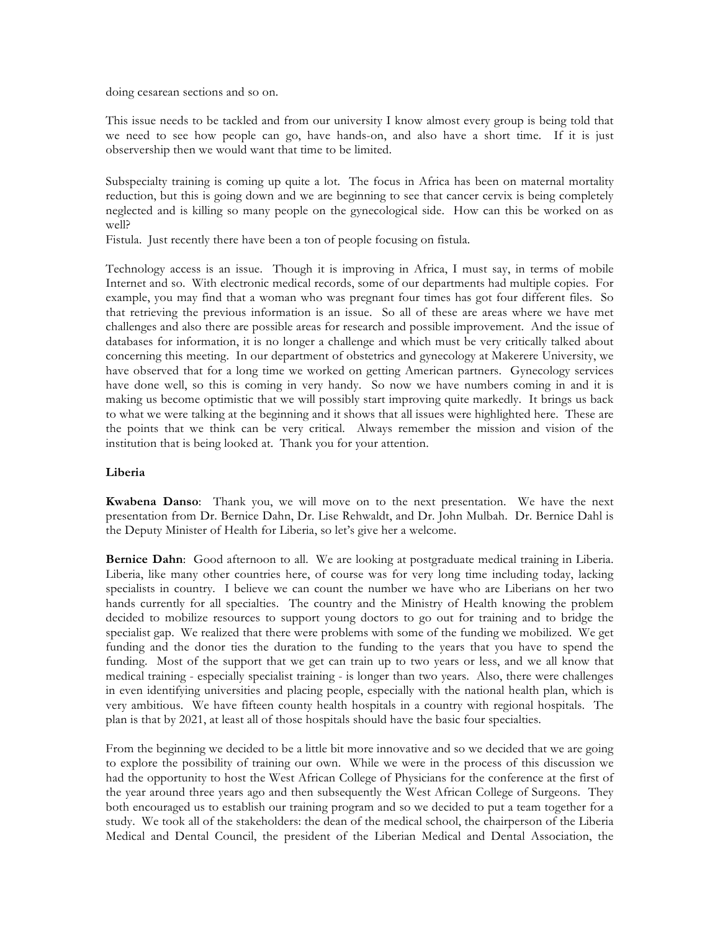doing cesarean sections and so on.

This issue needs to be tackled and from our university I know almost every group is being told that we need to see how people can go, have hands-on, and also have a short time. If it is just observership then we would want that time to be limited.

Subspecialty training is coming up quite a lot. The focus in Africa has been on maternal mortality reduction, but this is going down and we are beginning to see that cancer cervix is being completely neglected and is killing so many people on the gynecological side. How can this be worked on as well?

Fistula. Just recently there have been a ton of people focusing on fistula.

Technology access is an issue. Though it is improving in Africa, I must say, in terms of mobile Internet and so. With electronic medical records, some of our departments had multiple copies. For example, you may find that a woman who was pregnant four times has got four different files. So that retrieving the previous information is an issue. So all of these are areas where we have met challenges and also there are possible areas for research and possible improvement. And the issue of databases for information, it is no longer a challenge and which must be very critically talked about concerning this meeting. In our department of obstetrics and gynecology at Makerere University, we have observed that for a long time we worked on getting American partners. Gynecology services have done well, so this is coming in very handy. So now we have numbers coming in and it is making us become optimistic that we will possibly start improving quite markedly. It brings us back to what we were talking at the beginning and it shows that all issues were highlighted here. These are the points that we think can be very critical. Always remember the mission and vision of the institution that is being looked at. Thank you for your attention.

### **Liberia**

**Kwabena Danso**: Thank you, we will move on to the next presentation. We have the next presentation from Dr. Bernice Dahn, Dr. Lise Rehwaldt, and Dr. John Mulbah. Dr. Bernice Dahl is the Deputy Minister of Health for Liberia, so let's give her a welcome.

**Bernice Dahn**: Good afternoon to all. We are looking at postgraduate medical training in Liberia. Liberia, like many other countries here, of course was for very long time including today, lacking specialists in country. I believe we can count the number we have who are Liberians on her two hands currently for all specialties. The country and the Ministry of Health knowing the problem decided to mobilize resources to support young doctors to go out for training and to bridge the specialist gap. We realized that there were problems with some of the funding we mobilized. We get funding and the donor ties the duration to the funding to the years that you have to spend the funding. Most of the support that we get can train up to two years or less, and we all know that medical training - especially specialist training - is longer than two years. Also, there were challenges in even identifying universities and placing people, especially with the national health plan, which is very ambitious. We have fifteen county health hospitals in a country with regional hospitals. The plan is that by 2021, at least all of those hospitals should have the basic four specialties.

From the beginning we decided to be a little bit more innovative and so we decided that we are going to explore the possibility of training our own. While we were in the process of this discussion we had the opportunity to host the West African College of Physicians for the conference at the first of the year around three years ago and then subsequently the West African College of Surgeons. They both encouraged us to establish our training program and so we decided to put a team together for a study. We took all of the stakeholders: the dean of the medical school, the chairperson of the Liberia Medical and Dental Council, the president of the Liberian Medical and Dental Association, the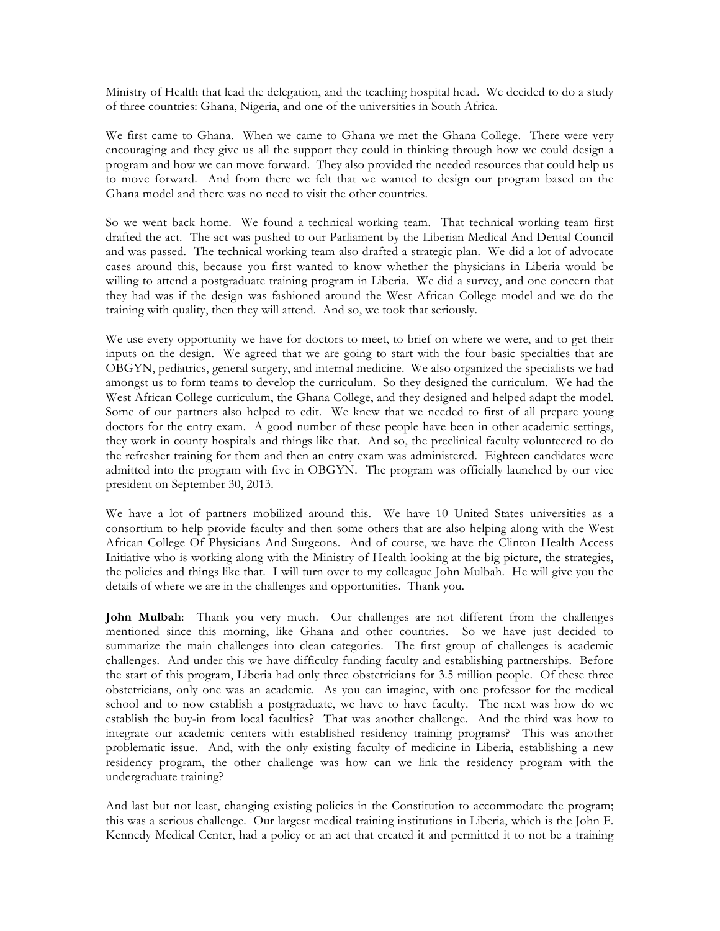Ministry of Health that lead the delegation, and the teaching hospital head. We decided to do a study of three countries: Ghana, Nigeria, and one of the universities in South Africa.

We first came to Ghana. When we came to Ghana we met the Ghana College. There were very encouraging and they give us all the support they could in thinking through how we could design a program and how we can move forward. They also provided the needed resources that could help us to move forward. And from there we felt that we wanted to design our program based on the Ghana model and there was no need to visit the other countries.

So we went back home. We found a technical working team. That technical working team first drafted the act. The act was pushed to our Parliament by the Liberian Medical And Dental Council and was passed. The technical working team also drafted a strategic plan. We did a lot of advocate cases around this, because you first wanted to know whether the physicians in Liberia would be willing to attend a postgraduate training program in Liberia. We did a survey, and one concern that they had was if the design was fashioned around the West African College model and we do the training with quality, then they will attend. And so, we took that seriously.

We use every opportunity we have for doctors to meet, to brief on where we were, and to get their inputs on the design. We agreed that we are going to start with the four basic specialties that are OBGYN, pediatrics, general surgery, and internal medicine. We also organized the specialists we had amongst us to form teams to develop the curriculum. So they designed the curriculum. We had the West African College curriculum, the Ghana College, and they designed and helped adapt the model. Some of our partners also helped to edit. We knew that we needed to first of all prepare young doctors for the entry exam. A good number of these people have been in other academic settings, they work in county hospitals and things like that. And so, the preclinical faculty volunteered to do the refresher training for them and then an entry exam was administered. Eighteen candidates were admitted into the program with five in OBGYN. The program was officially launched by our vice president on September 30, 2013.

We have a lot of partners mobilized around this. We have 10 United States universities as a consortium to help provide faculty and then some others that are also helping along with the West African College Of Physicians And Surgeons. And of course, we have the Clinton Health Access Initiative who is working along with the Ministry of Health looking at the big picture, the strategies, the policies and things like that. I will turn over to my colleague John Mulbah. He will give you the details of where we are in the challenges and opportunities. Thank you.

**John Mulbah**: Thank you very much. Our challenges are not different from the challenges mentioned since this morning, like Ghana and other countries. So we have just decided to summarize the main challenges into clean categories. The first group of challenges is academic challenges. And under this we have difficulty funding faculty and establishing partnerships. Before the start of this program, Liberia had only three obstetricians for 3.5 million people. Of these three obstetricians, only one was an academic. As you can imagine, with one professor for the medical school and to now establish a postgraduate, we have to have faculty. The next was how do we establish the buy-in from local faculties? That was another challenge. And the third was how to integrate our academic centers with established residency training programs? This was another problematic issue. And, with the only existing faculty of medicine in Liberia, establishing a new residency program, the other challenge was how can we link the residency program with the undergraduate training?

And last but not least, changing existing policies in the Constitution to accommodate the program; this was a serious challenge. Our largest medical training institutions in Liberia, which is the John F. Kennedy Medical Center, had a policy or an act that created it and permitted it to not be a training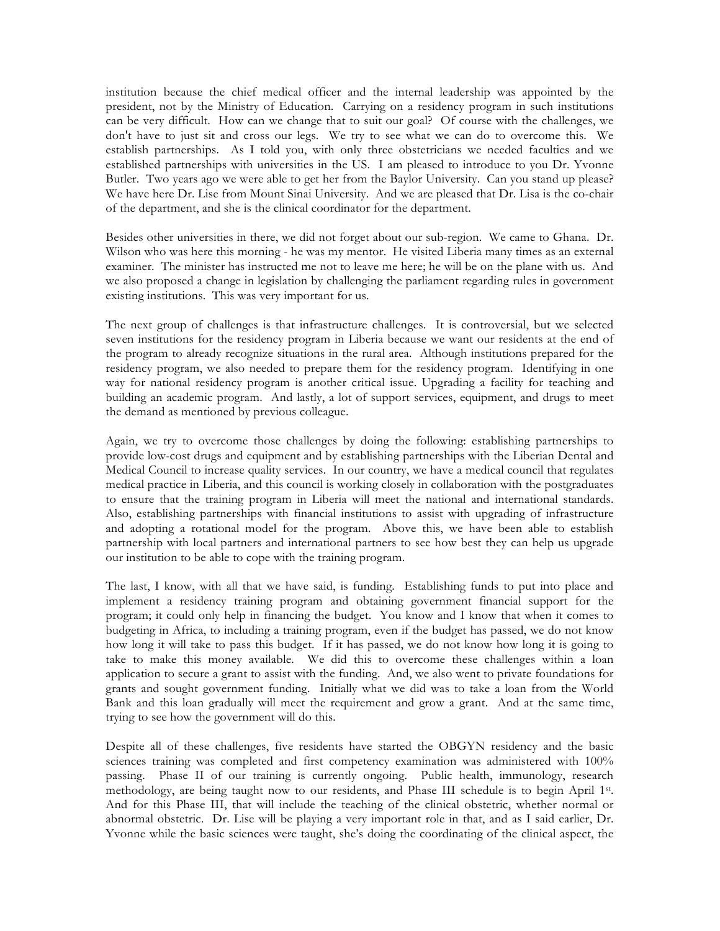institution because the chief medical officer and the internal leadership was appointed by the president, not by the Ministry of Education. Carrying on a residency program in such institutions can be very difficult. How can we change that to suit our goal? Of course with the challenges, we don't have to just sit and cross our legs. We try to see what we can do to overcome this. We establish partnerships. As I told you, with only three obstetricians we needed faculties and we established partnerships with universities in the US. I am pleased to introduce to you Dr. Yvonne Butler. Two years ago we were able to get her from the Baylor University. Can you stand up please? We have here Dr. Lise from Mount Sinai University. And we are pleased that Dr. Lisa is the co-chair of the department, and she is the clinical coordinator for the department.

Besides other universities in there, we did not forget about our sub-region. We came to Ghana. Dr. Wilson who was here this morning - he was my mentor. He visited Liberia many times as an external examiner. The minister has instructed me not to leave me here; he will be on the plane with us. And we also proposed a change in legislation by challenging the parliament regarding rules in government existing institutions. This was very important for us.

The next group of challenges is that infrastructure challenges. It is controversial, but we selected seven institutions for the residency program in Liberia because we want our residents at the end of the program to already recognize situations in the rural area. Although institutions prepared for the residency program, we also needed to prepare them for the residency program. Identifying in one way for national residency program is another critical issue. Upgrading a facility for teaching and building an academic program. And lastly, a lot of support services, equipment, and drugs to meet the demand as mentioned by previous colleague.

Again, we try to overcome those challenges by doing the following: establishing partnerships to provide low-cost drugs and equipment and by establishing partnerships with the Liberian Dental and Medical Council to increase quality services. In our country, we have a medical council that regulates medical practice in Liberia, and this council is working closely in collaboration with the postgraduates to ensure that the training program in Liberia will meet the national and international standards. Also, establishing partnerships with financial institutions to assist with upgrading of infrastructure and adopting a rotational model for the program. Above this, we have been able to establish partnership with local partners and international partners to see how best they can help us upgrade our institution to be able to cope with the training program.

The last, I know, with all that we have said, is funding. Establishing funds to put into place and implement a residency training program and obtaining government financial support for the program; it could only help in financing the budget. You know and I know that when it comes to budgeting in Africa, to including a training program, even if the budget has passed, we do not know how long it will take to pass this budget. If it has passed, we do not know how long it is going to take to make this money available. We did this to overcome these challenges within a loan application to secure a grant to assist with the funding. And, we also went to private foundations for grants and sought government funding. Initially what we did was to take a loan from the World Bank and this loan gradually will meet the requirement and grow a grant. And at the same time, trying to see how the government will do this.

Despite all of these challenges, five residents have started the OBGYN residency and the basic sciences training was completed and first competency examination was administered with 100% passing. Phase II of our training is currently ongoing. Public health, immunology, research methodology, are being taught now to our residents, and Phase III schedule is to begin April 1st. And for this Phase III, that will include the teaching of the clinical obstetric, whether normal or abnormal obstetric. Dr. Lise will be playing a very important role in that, and as I said earlier, Dr. Yvonne while the basic sciences were taught, she's doing the coordinating of the clinical aspect, the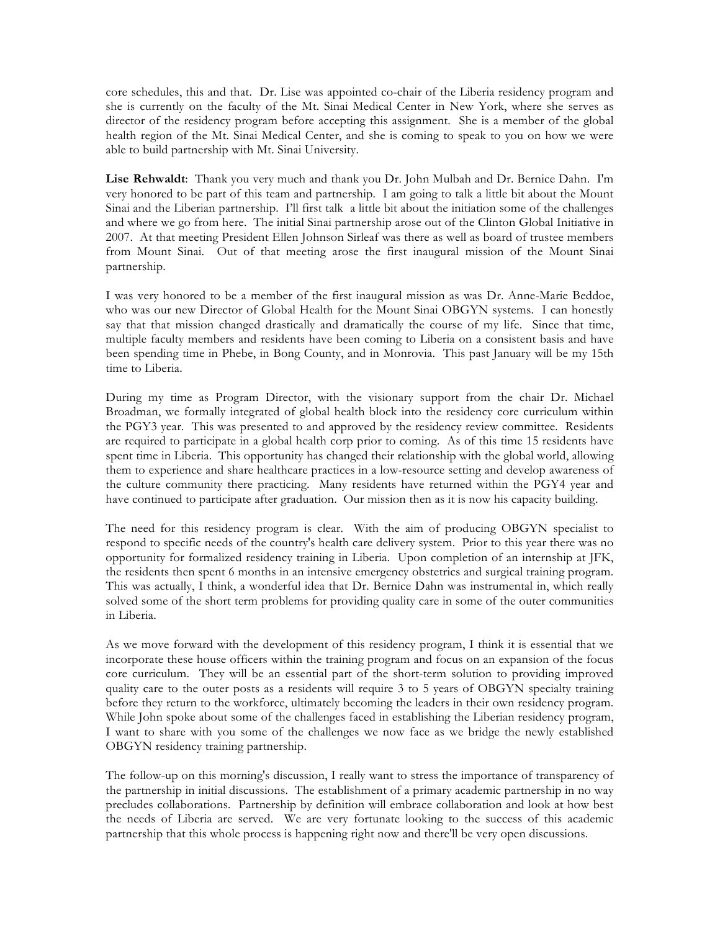core schedules, this and that. Dr. Lise was appointed co-chair of the Liberia residency program and she is currently on the faculty of the Mt. Sinai Medical Center in New York, where she serves as director of the residency program before accepting this assignment. She is a member of the global health region of the Mt. Sinai Medical Center, and she is coming to speak to you on how we were able to build partnership with Mt. Sinai University.

**Lise Rehwaldt**: Thank you very much and thank you Dr. John Mulbah and Dr. Bernice Dahn. I'm very honored to be part of this team and partnership. I am going to talk a little bit about the Mount Sinai and the Liberian partnership. I'll first talk a little bit about the initiation some of the challenges and where we go from here. The initial Sinai partnership arose out of the Clinton Global Initiative in 2007. At that meeting President Ellen Johnson Sirleaf was there as well as board of trustee members from Mount Sinai. Out of that meeting arose the first inaugural mission of the Mount Sinai partnership.

I was very honored to be a member of the first inaugural mission as was Dr. Anne-Marie Beddoe, who was our new Director of Global Health for the Mount Sinai OBGYN systems. I can honestly say that that mission changed drastically and dramatically the course of my life. Since that time, multiple faculty members and residents have been coming to Liberia on a consistent basis and have been spending time in Phebe, in Bong County, and in Monrovia. This past January will be my 15th time to Liberia.

During my time as Program Director, with the visionary support from the chair Dr. Michael Broadman, we formally integrated of global health block into the residency core curriculum within the PGY3 year. This was presented to and approved by the residency review committee. Residents are required to participate in a global health corp prior to coming. As of this time 15 residents have spent time in Liberia. This opportunity has changed their relationship with the global world, allowing them to experience and share healthcare practices in a low-resource setting and develop awareness of the culture community there practicing. Many residents have returned within the PGY4 year and have continued to participate after graduation. Our mission then as it is now his capacity building.

The need for this residency program is clear. With the aim of producing OBGYN specialist to respond to specific needs of the country's health care delivery system. Prior to this year there was no opportunity for formalized residency training in Liberia. Upon completion of an internship at JFK, the residents then spent 6 months in an intensive emergency obstetrics and surgical training program. This was actually, I think, a wonderful idea that Dr. Bernice Dahn was instrumental in, which really solved some of the short term problems for providing quality care in some of the outer communities in Liberia.

As we move forward with the development of this residency program, I think it is essential that we incorporate these house officers within the training program and focus on an expansion of the focus core curriculum. They will be an essential part of the short-term solution to providing improved quality care to the outer posts as a residents will require 3 to 5 years of OBGYN specialty training before they return to the workforce, ultimately becoming the leaders in their own residency program. While John spoke about some of the challenges faced in establishing the Liberian residency program, I want to share with you some of the challenges we now face as we bridge the newly established OBGYN residency training partnership.

The follow-up on this morning's discussion, I really want to stress the importance of transparency of the partnership in initial discussions. The establishment of a primary academic partnership in no way precludes collaborations. Partnership by definition will embrace collaboration and look at how best the needs of Liberia are served. We are very fortunate looking to the success of this academic partnership that this whole process is happening right now and there'll be very open discussions.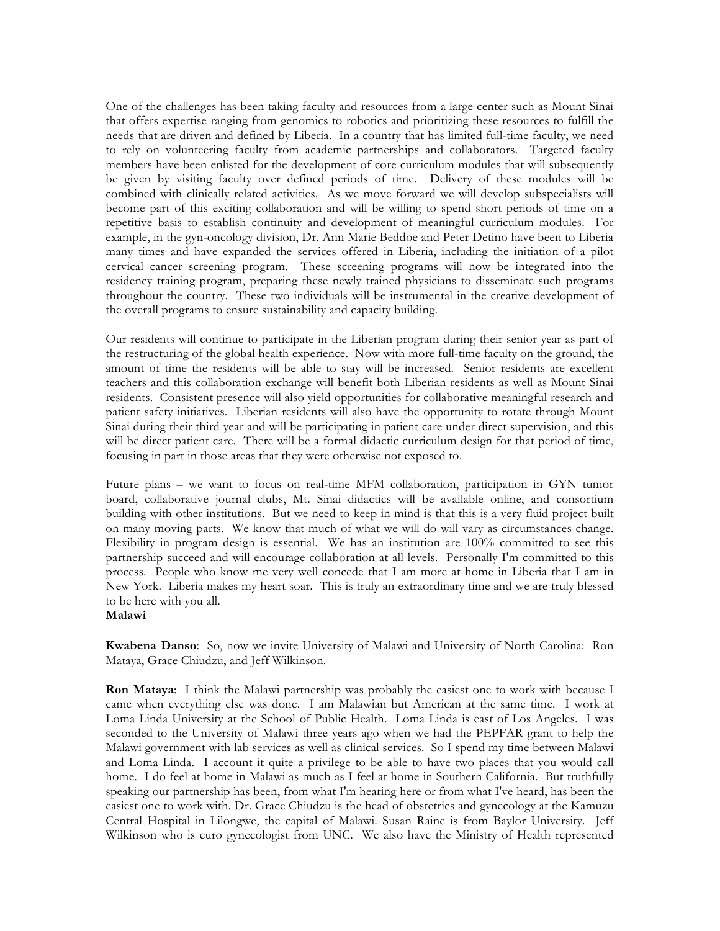One of the challenges has been taking faculty and resources from a large center such as Mount Sinai that offers expertise ranging from genomics to robotics and prioritizing these resources to fulfill the needs that are driven and defined by Liberia. In a country that has limited full-time faculty, we need to rely on volunteering faculty from academic partnerships and collaborators. Targeted faculty members have been enlisted for the development of core curriculum modules that will subsequently be given by visiting faculty over defined periods of time. Delivery of these modules will be combined with clinically related activities. As we move forward we will develop subspecialists will become part of this exciting collaboration and will be willing to spend short periods of time on a repetitive basis to establish continuity and development of meaningful curriculum modules. For example, in the gyn-oncology division, Dr. Ann Marie Beddoe and Peter Detino have been to Liberia many times and have expanded the services offered in Liberia, including the initiation of a pilot cervical cancer screening program. These screening programs will now be integrated into the residency training program, preparing these newly trained physicians to disseminate such programs throughout the country. These two individuals will be instrumental in the creative development of the overall programs to ensure sustainability and capacity building.

Our residents will continue to participate in the Liberian program during their senior year as part of the restructuring of the global health experience. Now with more full-time faculty on the ground, the amount of time the residents will be able to stay will be increased. Senior residents are excellent teachers and this collaboration exchange will benefit both Liberian residents as well as Mount Sinai residents. Consistent presence will also yield opportunities for collaborative meaningful research and patient safety initiatives. Liberian residents will also have the opportunity to rotate through Mount Sinai during their third year and will be participating in patient care under direct supervision, and this will be direct patient care. There will be a formal didactic curriculum design for that period of time, focusing in part in those areas that they were otherwise not exposed to.

Future plans – we want to focus on real-time MFM collaboration, participation in GYN tumor board, collaborative journal clubs, Mt. Sinai didactics will be available online, and consortium building with other institutions. But we need to keep in mind is that this is a very fluid project built on many moving parts. We know that much of what we will do will vary as circumstances change. Flexibility in program design is essential. We has an institution are 100% committed to see this partnership succeed and will encourage collaboration at all levels. Personally I'm committed to this process. People who know me very well concede that I am more at home in Liberia that I am in New York. Liberia makes my heart soar. This is truly an extraordinary time and we are truly blessed to be here with you all.

### **Malawi**

**Kwabena Danso**: So, now we invite University of Malawi and University of North Carolina: Ron Mataya, Grace Chiudzu, and Jeff Wilkinson.

**Ron Mataya**: I think the Malawi partnership was probably the easiest one to work with because I came when everything else was done. I am Malawian but American at the same time. I work at Loma Linda University at the School of Public Health. Loma Linda is east of Los Angeles. I was seconded to the University of Malawi three years ago when we had the PEPFAR grant to help the Malawi government with lab services as well as clinical services. So I spend my time between Malawi and Loma Linda. I account it quite a privilege to be able to have two places that you would call home. I do feel at home in Malawi as much as I feel at home in Southern California. But truthfully speaking our partnership has been, from what I'm hearing here or from what I've heard, has been the easiest one to work with. Dr. Grace Chiudzu is the head of obstetrics and gynecology at the Kamuzu Central Hospital in Lilongwe, the capital of Malawi. Susan Raine is from Baylor University. Jeff Wilkinson who is euro gynecologist from UNC. We also have the Ministry of Health represented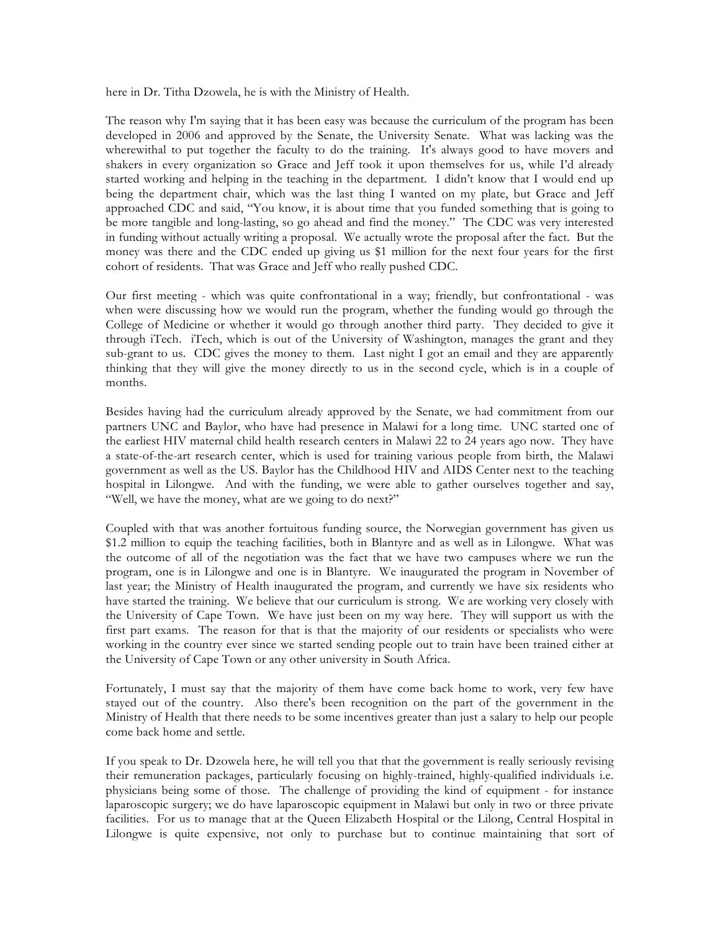here in Dr. Titha Dzowela, he is with the Ministry of Health.

The reason why I'm saying that it has been easy was because the curriculum of the program has been developed in 2006 and approved by the Senate, the University Senate. What was lacking was the wherewithal to put together the faculty to do the training. It's always good to have movers and shakers in every organization so Grace and Jeff took it upon themselves for us, while I'd already started working and helping in the teaching in the department. I didn't know that I would end up being the department chair, which was the last thing I wanted on my plate, but Grace and Jeff approached CDC and said, "You know, it is about time that you funded something that is going to be more tangible and long-lasting, so go ahead and find the money." The CDC was very interested in funding without actually writing a proposal. We actually wrote the proposal after the fact. But the money was there and the CDC ended up giving us \$1 million for the next four years for the first cohort of residents. That was Grace and Jeff who really pushed CDC.

Our first meeting - which was quite confrontational in a way; friendly, but confrontational - was when were discussing how we would run the program, whether the funding would go through the College of Medicine or whether it would go through another third party. They decided to give it through iTech. iTech, which is out of the University of Washington, manages the grant and they sub-grant to us. CDC gives the money to them. Last night I got an email and they are apparently thinking that they will give the money directly to us in the second cycle, which is in a couple of months.

Besides having had the curriculum already approved by the Senate, we had commitment from our partners UNC and Baylor, who have had presence in Malawi for a long time. UNC started one of the earliest HIV maternal child health research centers in Malawi 22 to 24 years ago now. They have a state-of-the-art research center, which is used for training various people from birth, the Malawi government as well as the US. Baylor has the Childhood HIV and AIDS Center next to the teaching hospital in Lilongwe. And with the funding, we were able to gather ourselves together and say, "Well, we have the money, what are we going to do next?"

Coupled with that was another fortuitous funding source, the Norwegian government has given us \$1.2 million to equip the teaching facilities, both in Blantyre and as well as in Lilongwe. What was the outcome of all of the negotiation was the fact that we have two campuses where we run the program, one is in Lilongwe and one is in Blantyre. We inaugurated the program in November of last year; the Ministry of Health inaugurated the program, and currently we have six residents who have started the training. We believe that our curriculum is strong. We are working very closely with the University of Cape Town. We have just been on my way here. They will support us with the first part exams. The reason for that is that the majority of our residents or specialists who were working in the country ever since we started sending people out to train have been trained either at the University of Cape Town or any other university in South Africa.

Fortunately, I must say that the majority of them have come back home to work, very few have stayed out of the country. Also there's been recognition on the part of the government in the Ministry of Health that there needs to be some incentives greater than just a salary to help our people come back home and settle.

If you speak to Dr. Dzowela here, he will tell you that that the government is really seriously revising their remuneration packages, particularly focusing on highly-trained, highly-qualified individuals i.e. physicians being some of those. The challenge of providing the kind of equipment - for instance laparoscopic surgery; we do have laparoscopic equipment in Malawi but only in two or three private facilities. For us to manage that at the Queen Elizabeth Hospital or the Lilong, Central Hospital in Lilongwe is quite expensive, not only to purchase but to continue maintaining that sort of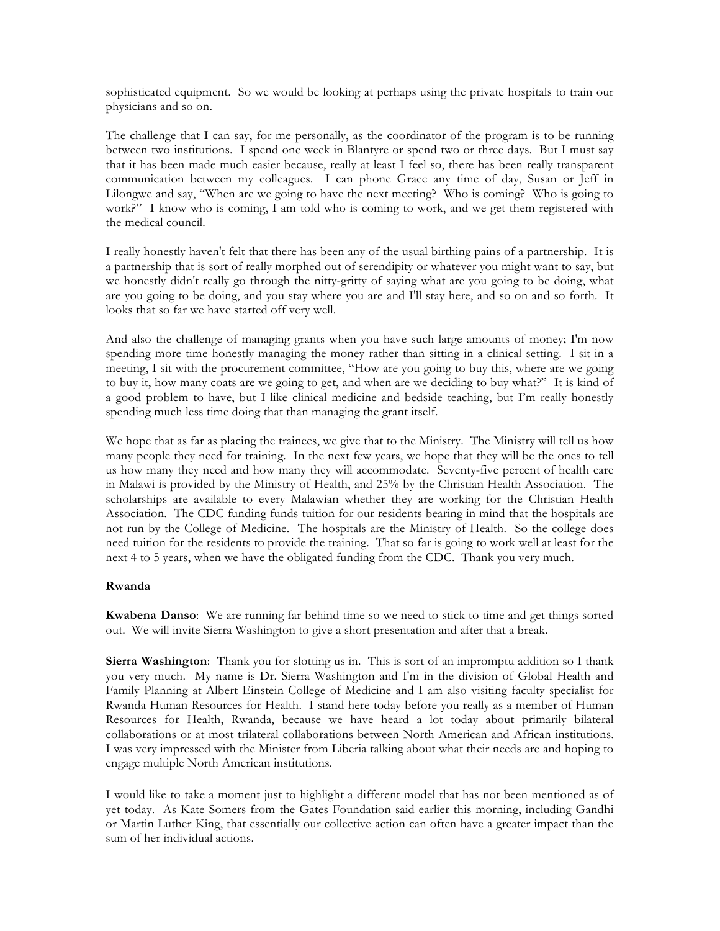sophisticated equipment. So we would be looking at perhaps using the private hospitals to train our physicians and so on.

The challenge that I can say, for me personally, as the coordinator of the program is to be running between two institutions. I spend one week in Blantyre or spend two or three days. But I must say that it has been made much easier because, really at least I feel so, there has been really transparent communication between my colleagues. I can phone Grace any time of day, Susan or Jeff in Lilongwe and say, "When are we going to have the next meeting? Who is coming? Who is going to work?" I know who is coming, I am told who is coming to work, and we get them registered with the medical council.

I really honestly haven't felt that there has been any of the usual birthing pains of a partnership. It is a partnership that is sort of really morphed out of serendipity or whatever you might want to say, but we honestly didn't really go through the nitty-gritty of saying what are you going to be doing, what are you going to be doing, and you stay where you are and I'll stay here, and so on and so forth. It looks that so far we have started off very well.

And also the challenge of managing grants when you have such large amounts of money; I'm now spending more time honestly managing the money rather than sitting in a clinical setting. I sit in a meeting, I sit with the procurement committee, "How are you going to buy this, where are we going to buy it, how many coats are we going to get, and when are we deciding to buy what?" It is kind of a good problem to have, but I like clinical medicine and bedside teaching, but I'm really honestly spending much less time doing that than managing the grant itself.

We hope that as far as placing the trainees, we give that to the Ministry. The Ministry will tell us how many people they need for training. In the next few years, we hope that they will be the ones to tell us how many they need and how many they will accommodate. Seventy-five percent of health care in Malawi is provided by the Ministry of Health, and 25% by the Christian Health Association. The scholarships are available to every Malawian whether they are working for the Christian Health Association. The CDC funding funds tuition for our residents bearing in mind that the hospitals are not run by the College of Medicine. The hospitals are the Ministry of Health. So the college does need tuition for the residents to provide the training. That so far is going to work well at least for the next 4 to 5 years, when we have the obligated funding from the CDC. Thank you very much.

### **Rwanda**

**Kwabena Danso**: We are running far behind time so we need to stick to time and get things sorted out. We will invite Sierra Washington to give a short presentation and after that a break.

**Sierra Washington**: Thank you for slotting us in. This is sort of an impromptu addition so I thank you very much. My name is Dr. Sierra Washington and I'm in the division of Global Health and Family Planning at Albert Einstein College of Medicine and I am also visiting faculty specialist for Rwanda Human Resources for Health. I stand here today before you really as a member of Human Resources for Health, Rwanda, because we have heard a lot today about primarily bilateral collaborations or at most trilateral collaborations between North American and African institutions. I was very impressed with the Minister from Liberia talking about what their needs are and hoping to engage multiple North American institutions.

I would like to take a moment just to highlight a different model that has not been mentioned as of yet today. As Kate Somers from the Gates Foundation said earlier this morning, including Gandhi or Martin Luther King, that essentially our collective action can often have a greater impact than the sum of her individual actions.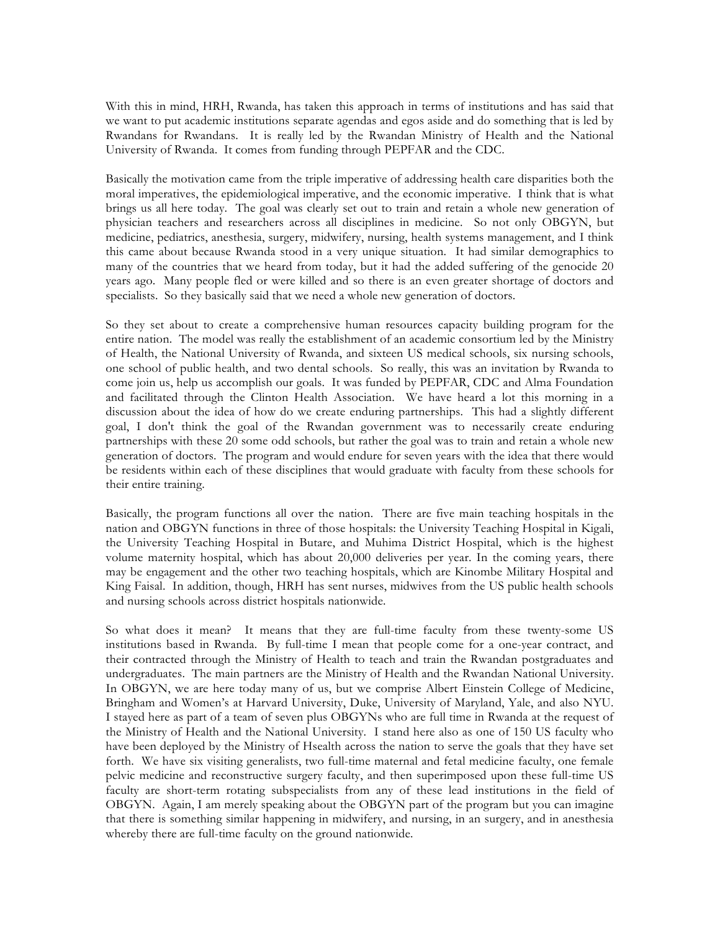With this in mind, HRH, Rwanda, has taken this approach in terms of institutions and has said that we want to put academic institutions separate agendas and egos aside and do something that is led by Rwandans for Rwandans. It is really led by the Rwandan Ministry of Health and the National University of Rwanda. It comes from funding through PEPFAR and the CDC.

Basically the motivation came from the triple imperative of addressing health care disparities both the moral imperatives, the epidemiological imperative, and the economic imperative. I think that is what brings us all here today. The goal was clearly set out to train and retain a whole new generation of physician teachers and researchers across all disciplines in medicine. So not only OBGYN, but medicine, pediatrics, anesthesia, surgery, midwifery, nursing, health systems management, and I think this came about because Rwanda stood in a very unique situation. It had similar demographics to many of the countries that we heard from today, but it had the added suffering of the genocide 20 years ago. Many people fled or were killed and so there is an even greater shortage of doctors and specialists. So they basically said that we need a whole new generation of doctors.

So they set about to create a comprehensive human resources capacity building program for the entire nation. The model was really the establishment of an academic consortium led by the Ministry of Health, the National University of Rwanda, and sixteen US medical schools, six nursing schools, one school of public health, and two dental schools. So really, this was an invitation by Rwanda to come join us, help us accomplish our goals. It was funded by PEPFAR, CDC and Alma Foundation and facilitated through the Clinton Health Association. We have heard a lot this morning in a discussion about the idea of how do we create enduring partnerships. This had a slightly different goal, I don't think the goal of the Rwandan government was to necessarily create enduring partnerships with these 20 some odd schools, but rather the goal was to train and retain a whole new generation of doctors. The program and would endure for seven years with the idea that there would be residents within each of these disciplines that would graduate with faculty from these schools for their entire training.

Basically, the program functions all over the nation. There are five main teaching hospitals in the nation and OBGYN functions in three of those hospitals: the University Teaching Hospital in Kigali, the University Teaching Hospital in Butare, and Muhima District Hospital, which is the highest volume maternity hospital, which has about 20,000 deliveries per year. In the coming years, there may be engagement and the other two teaching hospitals, which are Kinombe Military Hospital and King Faisal. In addition, though, HRH has sent nurses, midwives from the US public health schools and nursing schools across district hospitals nationwide.

So what does it mean? It means that they are full-time faculty from these twenty-some US institutions based in Rwanda. By full-time I mean that people come for a one-year contract, and their contracted through the Ministry of Health to teach and train the Rwandan postgraduates and undergraduates. The main partners are the Ministry of Health and the Rwandan National University. In OBGYN, we are here today many of us, but we comprise Albert Einstein College of Medicine, Bringham and Women's at Harvard University, Duke, University of Maryland, Yale, and also NYU. I stayed here as part of a team of seven plus OBGYNs who are full time in Rwanda at the request of the Ministry of Health and the National University. I stand here also as one of 150 US faculty who have been deployed by the Ministry of Hsealth across the nation to serve the goals that they have set forth. We have six visiting generalists, two full-time maternal and fetal medicine faculty, one female pelvic medicine and reconstructive surgery faculty, and then superimposed upon these full-time US faculty are short-term rotating subspecialists from any of these lead institutions in the field of OBGYN. Again, I am merely speaking about the OBGYN part of the program but you can imagine that there is something similar happening in midwifery, and nursing, in an surgery, and in anesthesia whereby there are full-time faculty on the ground nationwide.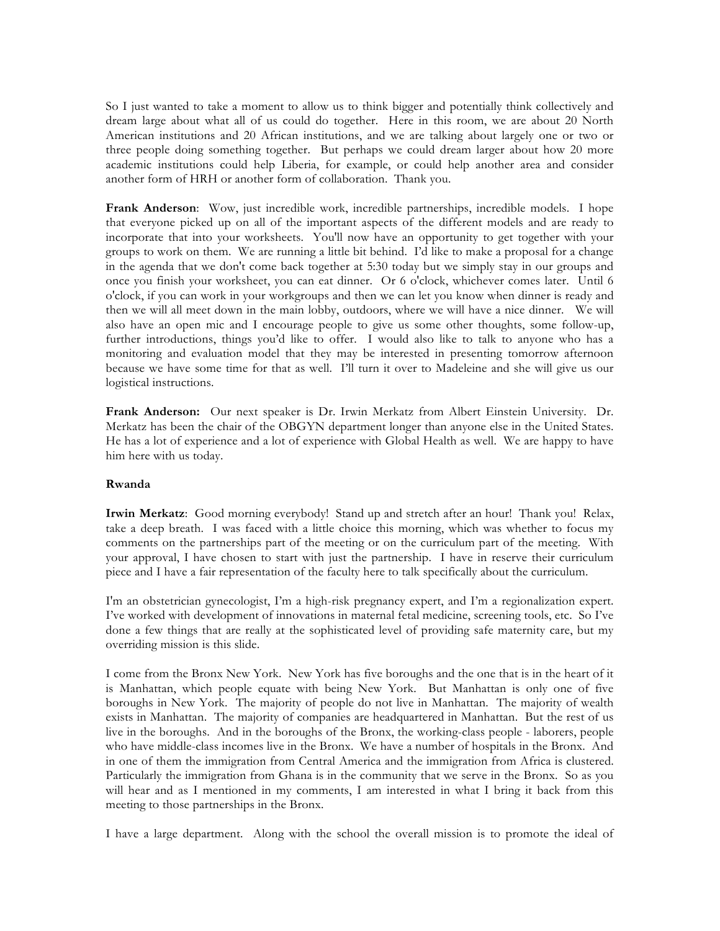So I just wanted to take a moment to allow us to think bigger and potentially think collectively and dream large about what all of us could do together. Here in this room, we are about 20 North American institutions and 20 African institutions, and we are talking about largely one or two or three people doing something together. But perhaps we could dream larger about how 20 more academic institutions could help Liberia, for example, or could help another area and consider another form of HRH or another form of collaboration. Thank you.

**Frank Anderson**: Wow, just incredible work, incredible partnerships, incredible models. I hope that everyone picked up on all of the important aspects of the different models and are ready to incorporate that into your worksheets. You'll now have an opportunity to get together with your groups to work on them. We are running a little bit behind. I'd like to make a proposal for a change in the agenda that we don't come back together at 5:30 today but we simply stay in our groups and once you finish your worksheet, you can eat dinner. Or 6 o'clock, whichever comes later. Until 6 o'clock, if you can work in your workgroups and then we can let you know when dinner is ready and then we will all meet down in the main lobby, outdoors, where we will have a nice dinner. We will also have an open mic and I encourage people to give us some other thoughts, some follow-up, further introductions, things you'd like to offer. I would also like to talk to anyone who has a monitoring and evaluation model that they may be interested in presenting tomorrow afternoon because we have some time for that as well. I'll turn it over to Madeleine and she will give us our logistical instructions.

**Frank Anderson:** Our next speaker is Dr. Irwin Merkatz from Albert Einstein University. Dr. Merkatz has been the chair of the OBGYN department longer than anyone else in the United States. He has a lot of experience and a lot of experience with Global Health as well. We are happy to have him here with us today.

### **Rwanda**

**Irwin Merkatz**: Good morning everybody! Stand up and stretch after an hour! Thank you! Relax, take a deep breath. I was faced with a little choice this morning, which was whether to focus my comments on the partnerships part of the meeting or on the curriculum part of the meeting. With your approval, I have chosen to start with just the partnership. I have in reserve their curriculum piece and I have a fair representation of the faculty here to talk specifically about the curriculum.

I'm an obstetrician gynecologist, I'm a high-risk pregnancy expert, and I'm a regionalization expert. I've worked with development of innovations in maternal fetal medicine, screening tools, etc. So I've done a few things that are really at the sophisticated level of providing safe maternity care, but my overriding mission is this slide.

I come from the Bronx New York. New York has five boroughs and the one that is in the heart of it is Manhattan, which people equate with being New York. But Manhattan is only one of five boroughs in New York. The majority of people do not live in Manhattan. The majority of wealth exists in Manhattan. The majority of companies are headquartered in Manhattan. But the rest of us live in the boroughs. And in the boroughs of the Bronx, the working-class people - laborers, people who have middle-class incomes live in the Bronx. We have a number of hospitals in the Bronx. And in one of them the immigration from Central America and the immigration from Africa is clustered. Particularly the immigration from Ghana is in the community that we serve in the Bronx. So as you will hear and as I mentioned in my comments, I am interested in what I bring it back from this meeting to those partnerships in the Bronx.

I have a large department. Along with the school the overall mission is to promote the ideal of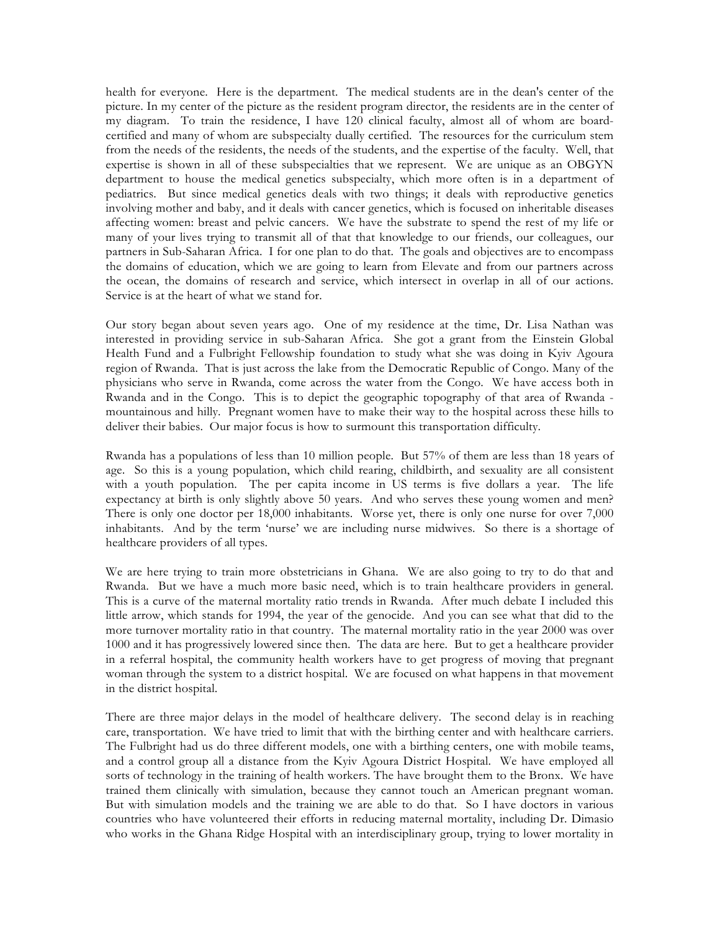health for everyone. Here is the department. The medical students are in the dean's center of the picture. In my center of the picture as the resident program director, the residents are in the center of my diagram. To train the residence, I have 120 clinical faculty, almost all of whom are boardcertified and many of whom are subspecialty dually certified. The resources for the curriculum stem from the needs of the residents, the needs of the students, and the expertise of the faculty. Well, that expertise is shown in all of these subspecialties that we represent. We are unique as an OBGYN department to house the medical genetics subspecialty, which more often is in a department of pediatrics. But since medical genetics deals with two things; it deals with reproductive genetics involving mother and baby, and it deals with cancer genetics, which is focused on inheritable diseases affecting women: breast and pelvic cancers. We have the substrate to spend the rest of my life or many of your lives trying to transmit all of that that knowledge to our friends, our colleagues, our partners in Sub-Saharan Africa. I for one plan to do that. The goals and objectives are to encompass the domains of education, which we are going to learn from Elevate and from our partners across the ocean, the domains of research and service, which intersect in overlap in all of our actions. Service is at the heart of what we stand for.

Our story began about seven years ago. One of my residence at the time, Dr. Lisa Nathan was interested in providing service in sub-Saharan Africa. She got a grant from the Einstein Global Health Fund and a Fulbright Fellowship foundation to study what she was doing in Kyiv Agoura region of Rwanda. That is just across the lake from the Democratic Republic of Congo. Many of the physicians who serve in Rwanda, come across the water from the Congo. We have access both in Rwanda and in the Congo. This is to depict the geographic topography of that area of Rwanda mountainous and hilly. Pregnant women have to make their way to the hospital across these hills to deliver their babies. Our major focus is how to surmount this transportation difficulty.

Rwanda has a populations of less than 10 million people. But 57% of them are less than 18 years of age. So this is a young population, which child rearing, childbirth, and sexuality are all consistent with a youth population. The per capita income in US terms is five dollars a year. The life expectancy at birth is only slightly above 50 years. And who serves these young women and men? There is only one doctor per 18,000 inhabitants. Worse yet, there is only one nurse for over 7,000 inhabitants. And by the term 'nurse' we are including nurse midwives. So there is a shortage of healthcare providers of all types.

We are here trying to train more obstetricians in Ghana. We are also going to try to do that and Rwanda. But we have a much more basic need, which is to train healthcare providers in general. This is a curve of the maternal mortality ratio trends in Rwanda. After much debate I included this little arrow, which stands for 1994, the year of the genocide. And you can see what that did to the more turnover mortality ratio in that country. The maternal mortality ratio in the year 2000 was over 1000 and it has progressively lowered since then. The data are here. But to get a healthcare provider in a referral hospital, the community health workers have to get progress of moving that pregnant woman through the system to a district hospital. We are focused on what happens in that movement in the district hospital.

There are three major delays in the model of healthcare delivery. The second delay is in reaching care, transportation. We have tried to limit that with the birthing center and with healthcare carriers. The Fulbright had us do three different models, one with a birthing centers, one with mobile teams, and a control group all a distance from the Kyiv Agoura District Hospital. We have employed all sorts of technology in the training of health workers. The have brought them to the Bronx. We have trained them clinically with simulation, because they cannot touch an American pregnant woman. But with simulation models and the training we are able to do that. So I have doctors in various countries who have volunteered their efforts in reducing maternal mortality, including Dr. Dimasio who works in the Ghana Ridge Hospital with an interdisciplinary group, trying to lower mortality in